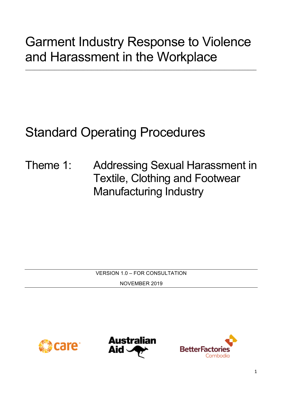# Garment Industry Response to Violence and Harassment in the Workplace

\_\_\_\_\_\_\_\_\_\_\_\_\_\_\_\_\_\_\_\_\_\_\_\_\_\_\_\_\_\_\_\_\_\_\_\_\_\_\_\_\_\_\_\_\_\_\_\_\_\_\_\_\_\_\_\_\_\_\_\_\_\_\_\_\_\_\_\_\_\_\_\_\_\_\_\_\_\_\_\_

# Standard Operating Procedures

Theme 1: Addressing Sexual Harassment in Textile, Clothing and Footwear Manufacturing Industry

VERSION 1.0 – FOR CONSULTATION

NOVEMBER 2019





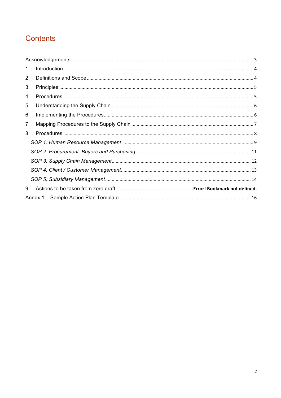# Contents

| 1 |  |
|---|--|
| 2 |  |
| 3 |  |
| 4 |  |
| 5 |  |
| 6 |  |
| 7 |  |
| 8 |  |
|   |  |
|   |  |
|   |  |
|   |  |
|   |  |
| 9 |  |
|   |  |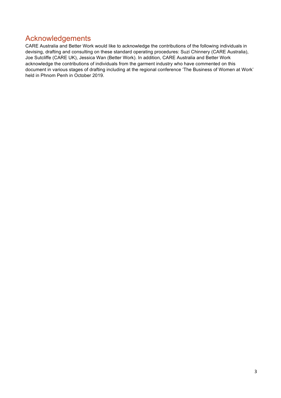### Acknowledgements

CARE Australia and Better Work would like to acknowledge the contributions of the following individuals in devising, drafting and consulting on these standard operating procedures: Suzi Chinnery (CARE Australia), Joe Sutcliffe (CARE UK), Jessica Wan (Better Work). In addition, CARE Australia and Better Work acknowledge the contributions of individuals from the garment industry who have commented on this document in various stages of drafting including at the regional conference 'The Business of Women at Work' held in Phnom Penh in October 2019.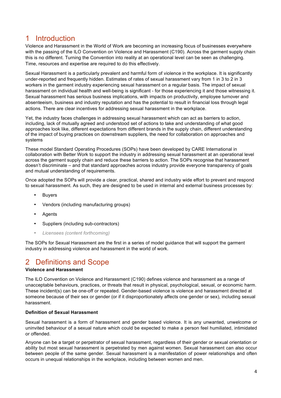### 1 Introduction

Violence and Harassment in the World of Work are becoming an increasing focus of businesses everywhere with the passing of the ILO Convention on Violence and Harassment (C190). Across the garment supply chain this is no different. Turning the Convention into reality at an operational level can be seen as challenging. Time, resources and expertise are required to do this effectively.

Sexual Harassment is a particularly prevalent and harmful form of violence in the workplace. It is significantly under-reported and frequently hidden. Estimates of rates of sexual harassment vary from 1 in 3 to 2 in 3 workers in the garment industry experiencing sexual harassment on a regular basis. The impact of sexual harassment on individual health and well-being is significant - for those experiencing it and those witnessing it. Sexual harassment has serious business implications, with impacts on productivity, employee turnover and absenteeism, business and industry reputation and has the potential to result in financial loss through legal actions. There are clear incentives for addressing sexual harassment in the workplace.

Yet, the industry faces challenges in addressing sexual harassment which can act as barriers to action, including, lack of mutually agreed and understood set of actions to take and understanding of what good approaches look like, different expectations from different brands in the supply chain, different understanding of the impact of buying practices on downstream suppliers, the need for collaboration on approaches and systems

These model Standard Operating Procedures (SOPs) have been developed by CARE International in collaboration with Better Work to support the industry in addressing sexual harassment at an operational level across the garment supply chain and reduce these barriers to action. The SOPs recognise that harassment doesn't discriminate – and that standard approaches across industry provide everyone transparency of goals and mutual understanding of requirements.

Once adopted the SOPs will provide a clear, practical, shared and industry wide effort to prevent and respond to sexual harassment. As such, they are designed to be used in internal and external business processes by:

- Buyers
- Vendors (including manufacturing groups)
- **Agents**
- Suppliers (including sub-contractors)
- *Licensees (content forthcoming)*

The SOPs for Sexual Harassment are the first in a series of model guidance that will support the garment industry in addressing violence and harassment in the world of work.

### 2 Definitions and Scope

#### **Violence and Harassment**

The ILO Convention on Violence and Harassment (C190) defines violence and harassment as a range of unacceptable behaviours, practices, or threats that result in physical, psychological, sexual, or economic harm. These incident(s) can be one-off or repeated. Gender-based violence is violence and harassment directed at someone because of their sex or gender (or if it disproportionately affects one gender or sex), including sexual harassment.

#### **Definition of Sexual Harassment**

Sexual harassment is a form of harassment and gender based violence. It is any unwanted, unwelcome or uninvited behaviour of a sexual nature which could be expected to make a person feel humiliated, intimidated or offended.

Anyone can be a target or perpetrator of sexual harassment, regardless of their gender or sexual orientation or ability but most sexual harassment is perpetrated by men against women. Sexual harassment can also occur between people of the same gender. Sexual harassment is a manifestation of power relationships and often occurs in unequal relationships in the workplace, including between women and men.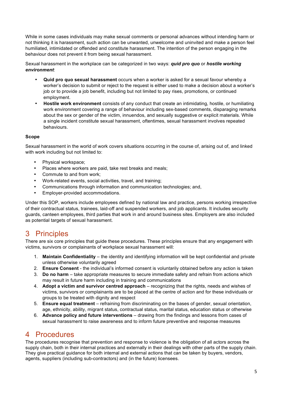While in some cases individuals may make sexual comments or personal advances without intending harm or not thinking it is harassment, such action can be unwanted, unwelcome and uninvited and make a person feel humiliated, intimidated or offended and constitute harassment. The intention of the person engaging in the behaviour does not prevent it from being sexual harassment.

Sexual harassment in the workplace can be categorized in two ways: *quid pro quo* or *hostile working environment*:

- **Quid pro quo sexual harassment** occurs when a worker is asked for a sexual favour whereby a worker's decision to submit or reject to the request is either used to make a decision about a worker's job or to provide a job benefit, including but not limited to pay rises, promotions, or continued employment.
- **Hostile work environment** consists of any conduct that create an intimidating, hostile, or humiliating work environment covering a range of behaviour including sex-based comments, disparaging remarks about the sex or gender of the victim, innuendos, and sexually suggestive or explicit materials. While a single incident constitute sexual harassment, oftentimes, sexual harassment involves repeated behaviours.

#### **Scope**

Sexual harassment in the world of work covers situations occurring in the course of, arising out of, and linked with work including but not limited to:

- Physical workspace;
- Places where workers are paid, take rest breaks and meals;
- Commute to and from work;
- Work-related events, social activities, travel, and training;
- Communications through information and communication technologies; and,
- Employer-provided accommodations.

Under this SOP, workers include employees defined by national law and practice, persons working irrespective of their contractual status, trainees, laid-off and suspended workers, and job applicants. It includes security guards, canteen employees, third parties that work in and around business sites. Employers are also included as potential targets of sexual harassment.

### 3 Principles

There are six core principles that guide these procedures. These principles ensure that any engagement with victims, survivors or complainants of workplace sexual harassment will:

- 1. **Maintain Confidentiality** the identity and identifying information will be kept confidential and private unless otherwise voluntarily agreed
- 2. **Ensure Consent** the individual's informed consent is voluntarily obtained before any action is taken
- 3. **Do no harm** take appropriate measures to secure immediate safety and refrain from actions which may result in future harm including in training and communications
- 4. **Adopt a victim and survivor centred approach** recognizing that the rights, needs and wishes of victims, survivors or complainants are to be placed at the centre of action and for these individuals or groups to be treated with dignity and respect
- 5. **Ensure equal treatment** refraining from discriminating on the bases of gender, sexual orientation, age, ethnicity, ability, migrant status, contractual status, marital status, education status or otherwise
- 6. **Advance policy and future interventions**  drawing from the findings and lessons from cases of sexual harassment to raise awareness and to inform future preventive and response measures

### 4 Procedures

The procedures recognise that prevention and response to violence is the obligation of all actors across the supply chain, both in their internal practices and externally in their dealings with other parts of the supply chain. They give practical guidance for both internal and external actions that can be taken by buyers, vendors, agents, suppliers (including sub-contractors) and (in the future) licensees.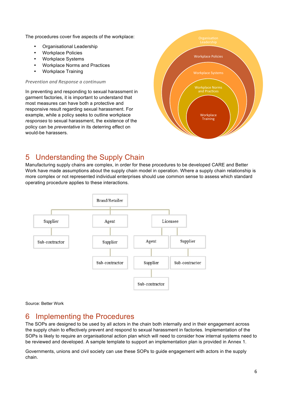The procedures cover five aspects of the workplace:

- Organisational Leadership
- Workplace Policies
- Workplace Systems
- Workplace Norms and Practices
- Workplace Training

#### *Prevention and Response a continuum*

In preventing and responding to sexual harassment in garment factories, it is important to understand that most measures can have both a protective and responsive result regarding sexual harassment. For example, while a policy seeks to outline workplace *responses* to sexual harassment, the existence of the policy can be *preventative* in its deterring effect on would-be harassers.



# 5 Understanding the Supply Chain

Manufacturing supply chains are complex, in order for these procedures to be developed CARE and Better Work have made assumptions about the supply chain model in operation. Where a supply chain relationship is more complex or not represented individual enterprises should use common sense to assess which standard operating procedure applies to these interactions.



#### Source: Better Work

### 6 Implementing the Procedures

The SOPs are designed to be used by all actors in the chain both internally and in their engagement across the supply chain to effectively prevent and respond to sexual harassment in factories. Implementation of the SOPs is likely to require an organisational action plan which will need to consider how internal systems need to be reviewed and developed. A sample template to support an implementation plan is provided in Annex 1.

Governments, unions and civil society can use these SOPs to guide engagement with actors in the supply chain.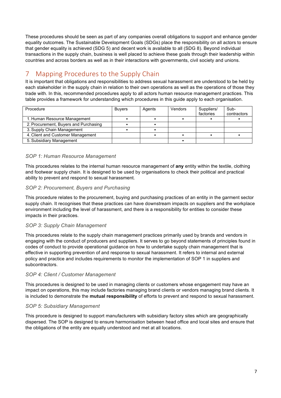These procedures should be seen as part of any companies overall obligations to support and enhance gender equality outcomes. The Sustainable Development Goals (SDGs) place the responsibility on all actors to ensure that gender equality is achieved (SDG 5) and decent work is available to all (SDG 8). Beyond individual transactions in the supply chain, business is well placed to achieve these goals through their leadership within countries and across borders as well as in their interactions with governments, civil society and unions.

# 7 Mapping Procedures to the Supply Chain

It is important that obligations and responsibilities to address sexual harassment are understood to be held by each stakeholder in the supply chain in relation to their own operations as well as the operations of those they trade with. In this, recommended procedures apply to all actors human resource management practices. This table provides a framework for understanding which procedures in this guide apply to each organisation.

| Procedure                             | <b>Buvers</b> | Agents | Vendors | Suppliers/<br>factories | Sub-<br>contractors |
|---------------------------------------|---------------|--------|---------|-------------------------|---------------------|
| 1. Human Resource Management          |               |        |         |                         |                     |
| 2. Procurement, Buyers and Purchasing |               |        |         |                         |                     |
| 3. Supply Chain Management            |               |        |         |                         |                     |
| 4. Client and Customer Management     |               |        |         |                         |                     |
| 5. Subsidiary Management              |               |        |         |                         |                     |

#### *SOP 1: Human Resource Management*

This procedures relates to the internal human resource management of **any** entity within the textile, clothing and footwear supply chain. It is designed to be used by organisations to check their political and practical ability to prevent and respond to sexual harassment.

#### *SOP 2: Procurement, Buyers and Purchasing*

This procedure relates to the procurement, buying and purchasing practices of an entity in the garment sector supply chain. It recognises that these practices can have downstream impacts on suppliers and the workplace environment including the level of harassment, and there is a responsibility for entities to consider these impacts in their practices.

#### *SOP 3: Supply Chain Management*

This procedures relate to the supply chain management practices primarily used by brands and vendors in engaging with the conduct of producers and suppliers. It serves to go beyond statements of principles found in codes of conduct to provide operational guidance on how to undertake supply chain management that is effective in supporting prevention of and response to sexual harassment. It refers to internal and external policy and practice and includes requirements to monitor the implementation of SOP 1 in suppliers and subcontractors.

#### *SOP 4: Client / Customer Management*

This procedures is designed to be used in managing clients or customers whose engagement may have an impact on operations, this may include factories managing brand clients or vendors managing brand clients. It is included to demonstrate the **mutual responsibility** of efforts to prevent and respond to sexual harassment.

#### *SOP 5: Subsidiary Management*

This procedure is designed to support manufacturers with subsidiary factory sites which are geographically dispersed. The SOP is designed to ensure harmonisation between head office and local sites and ensure that the obligations of the entity are equally understood and met at all locations.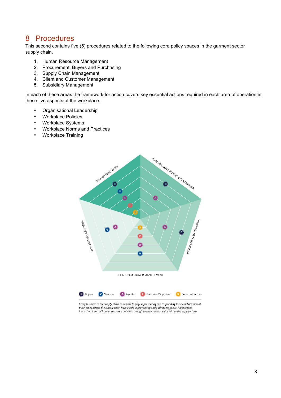### 8 Procedures

This second contains five (5) procedures related to the following core policy spaces in the garment sector supply chain.

- 1. Human Resource Management
- 2. Procurement, Buyers and Purchasing
- 3. Supply Chain Management
- 4. Client and Customer Management
- 5. Subsidiary Management

In each of these areas the framework for action covers key essential actions required in each area of operation in these five aspects of the workplace:

- Organisational Leadership
- Workplace Policies
- Workplace Systems
- Workplace Norms and Practices
- Workplace Training



Every business in the supply chain has a part to play in preventing and responding to sexual harassment. Businesses across the supply chain have a role in preventing and addressing sexual harassment, from their internal human resource policies through to their relationships within the supply chain.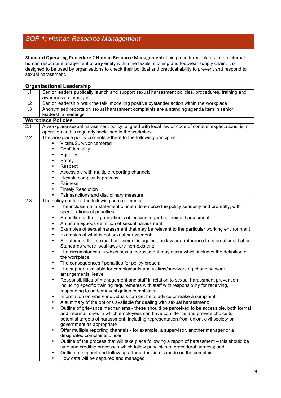# *SOP 1: Human Resource Management*

Standard Operating Procedure 2 Human Resource Management: This procedures relates to the internal human resource management of **any** entity within the textile, clothing and footwear supply chain. It is designed to be used by organisations to check their political and practical ability to prevent and respond to sexual harassment.

| <b>Organisational Leadership</b> |                                                                                                                                                                     |  |  |  |  |
|----------------------------------|---------------------------------------------------------------------------------------------------------------------------------------------------------------------|--|--|--|--|
| 1.1                              | Senior leaders publically launch and support sexual harassment policies, procedures, training and                                                                   |  |  |  |  |
|                                  | awareness campaigns                                                                                                                                                 |  |  |  |  |
| 1.2                              | Senior leadership 'walk the talk' modelling positive bystander action within the workplace                                                                          |  |  |  |  |
| 1.3                              | Anonymised reports on sexual harassment complaints are a standing agenda item in senior                                                                             |  |  |  |  |
|                                  | leadership meetings                                                                                                                                                 |  |  |  |  |
|                                  | <b>Workplace Policies</b>                                                                                                                                           |  |  |  |  |
| 2.1                              | A workplace sexual harassment policy, aligned with local law or code of conduct expectations, is in                                                                 |  |  |  |  |
|                                  | operation and is regularly socialised in the workplace.                                                                                                             |  |  |  |  |
| 2.2                              | The workplace policy contents adhere to the following principles:                                                                                                   |  |  |  |  |
|                                  | Victim/Survivor-centered                                                                                                                                            |  |  |  |  |
|                                  | Confidentiality<br>$\bullet$                                                                                                                                        |  |  |  |  |
|                                  | Equality<br>$\bullet$                                                                                                                                               |  |  |  |  |
|                                  | Safety<br>$\bullet$                                                                                                                                                 |  |  |  |  |
|                                  | Respect<br>$\bullet$                                                                                                                                                |  |  |  |  |
|                                  | Accessible with multiple reporting channels<br>٠                                                                                                                    |  |  |  |  |
|                                  | Flexible complaints process<br>٠                                                                                                                                    |  |  |  |  |
|                                  | Fairness                                                                                                                                                            |  |  |  |  |
|                                  | <b>Timely Resolution</b>                                                                                                                                            |  |  |  |  |
|                                  | Fair sanctions and disciplinary measure                                                                                                                             |  |  |  |  |
| 2.3                              | The policy contains the following core elements:                                                                                                                    |  |  |  |  |
|                                  | The inclusion of a statement of intent to enforce the policy seriously and promptly, with                                                                           |  |  |  |  |
|                                  | specifications of penalties;                                                                                                                                        |  |  |  |  |
|                                  | An outline of the organisation's objectives regarding sexual harassment;<br>$\bullet$                                                                               |  |  |  |  |
|                                  | An unambiguous definition of sexual harassment;<br>$\bullet$<br>$\bullet$                                                                                           |  |  |  |  |
|                                  | Examples of sexual harassment that may be relevant to the particular working environment;<br>Examples of what is not sexual harassment;<br>$\bullet$                |  |  |  |  |
|                                  | A statement that sexual harassment is against the law or a reference to International Labor<br>$\bullet$                                                            |  |  |  |  |
|                                  | Standards where local laws are non-existent;                                                                                                                        |  |  |  |  |
|                                  | The circumstances in which sexual harassment may occur which includes the definition of<br>$\bullet$                                                                |  |  |  |  |
|                                  | the workplace;                                                                                                                                                      |  |  |  |  |
|                                  | The consequences / penalties for policy breach;<br>$\bullet$                                                                                                        |  |  |  |  |
|                                  | The support available for complainants and victims/survivors eg changing work<br>$\bullet$                                                                          |  |  |  |  |
|                                  | arrangements, leave                                                                                                                                                 |  |  |  |  |
|                                  | Responsibilities of management and staff in relation to sexual harassment prevention<br>$\bullet$                                                                   |  |  |  |  |
|                                  | including specific training requirements with staff with responsibility for receiving,                                                                              |  |  |  |  |
|                                  | responding to and/or investigation complaints;                                                                                                                      |  |  |  |  |
|                                  | Information on where individuals can get help, advice or make a complaint;                                                                                          |  |  |  |  |
|                                  | A summary of the options available for dealing with sexual harassment;<br>Outline of grievance mechanisms - these should be perceived to be accessible, both formal |  |  |  |  |
|                                  | and informal, ones in which employees can have confidence and provide choice to                                                                                     |  |  |  |  |
|                                  | potential targets of harassment; including representation from union, civil society or                                                                              |  |  |  |  |
|                                  | government as appropriate                                                                                                                                           |  |  |  |  |
|                                  | Offer multiple reporting channels - for example, a supervisor, another manager or a                                                                                 |  |  |  |  |
|                                  | designated complaints officer;                                                                                                                                      |  |  |  |  |
|                                  | Outline of the process that will take place following a report of harassment - this should be                                                                       |  |  |  |  |
|                                  | safe and credible processes which follow principles of procedural fairness; and                                                                                     |  |  |  |  |
|                                  | Outline of support and follow up after a decision is made on the complaint.                                                                                         |  |  |  |  |
|                                  | How data will be captured and managed                                                                                                                               |  |  |  |  |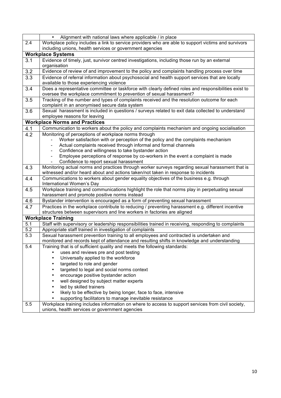|                  | Alignment with national laws where applicable / in place                                                                                                                  |  |  |  |  |  |
|------------------|---------------------------------------------------------------------------------------------------------------------------------------------------------------------------|--|--|--|--|--|
| 2.4              | Workplace policy includes a link to service providers who are able to support victims and survivors                                                                       |  |  |  |  |  |
|                  | including unions, health services or government agencies                                                                                                                  |  |  |  |  |  |
|                  | <b>Workplace Systems</b>                                                                                                                                                  |  |  |  |  |  |
| 3.1              | Evidence of timely, just, survivor centred investigations, including those run by an external                                                                             |  |  |  |  |  |
|                  | organisation                                                                                                                                                              |  |  |  |  |  |
| 3.2              | Evidence of review of and improvement to the policy and complaints handling process over time                                                                             |  |  |  |  |  |
| 3.3              | Evidence of referral information about psychosocial and health support services that are locally                                                                          |  |  |  |  |  |
|                  | available to those experiencing violence                                                                                                                                  |  |  |  |  |  |
| 3.4              | Does a representative committee or taskforce with clearly defined roles and responsibilities exist to                                                                     |  |  |  |  |  |
|                  | oversee the workplace commitment to prevention of sexual harassment?                                                                                                      |  |  |  |  |  |
| 3.5              | Tracking of the number and types of complaints received and the resolution outcome for each                                                                               |  |  |  |  |  |
|                  | complaint in an anonymised secure data system                                                                                                                             |  |  |  |  |  |
| 3.6              | Sexual harassment is included in questions / surveys related to exit data collected to understand                                                                         |  |  |  |  |  |
|                  | employee reasons for leaving                                                                                                                                              |  |  |  |  |  |
|                  | <b>Workplace Norms and Practices</b>                                                                                                                                      |  |  |  |  |  |
| 4.1              | Communication to workers about the policy and complaints mechanism and ongoing socialisation                                                                              |  |  |  |  |  |
| 4.2              | Monitoring of perceptions of workplace norms through                                                                                                                      |  |  |  |  |  |
|                  | Worker satisfaction with or perception of the policy and the complaints mechanism<br>Actual complaints received through informal and formal channels                      |  |  |  |  |  |
|                  | Confidence and willingness to take bystander action                                                                                                                       |  |  |  |  |  |
|                  | Employee perceptions of response by co-workers in the event a complaint is made                                                                                           |  |  |  |  |  |
|                  | Confidence to report sexual harassment                                                                                                                                    |  |  |  |  |  |
| 4.3              | Monitoring actual norms and practices through worker surveys regarding sexual harassment that is                                                                          |  |  |  |  |  |
|                  | witnessed and/or heard about and actions taken/not taken in response to incidents                                                                                         |  |  |  |  |  |
| 4.4              | Communications to workers about gender equality objectives of the business e.g. through                                                                                   |  |  |  |  |  |
|                  | International Women's Day                                                                                                                                                 |  |  |  |  |  |
| 4.5              | Workplace training and communications highlight the role that norms play in perpetuating sexual                                                                           |  |  |  |  |  |
|                  | harassment and promote positive norms instead                                                                                                                             |  |  |  |  |  |
| 4.6              | Bystander intervention is encouraged as a form of preventing sexual harassment                                                                                            |  |  |  |  |  |
| 4.7              | Practices in the workplace contribute to reducing / preventing harassment e.g. different incentive                                                                        |  |  |  |  |  |
|                  | structures between supervisors and line workers in factories are aligned                                                                                                  |  |  |  |  |  |
|                  | <b>Workplace Training</b>                                                                                                                                                 |  |  |  |  |  |
| 5.1              | Staff with supervisory or leadership responsibilities trained in receiving, responding to complaints                                                                      |  |  |  |  |  |
| 5.2              | Appropriate staff trained in investigation of complaints                                                                                                                  |  |  |  |  |  |
| 5.3              | Sexual harassment prevention training to all employees and contracted is undertaken and                                                                                   |  |  |  |  |  |
| $\overline{5.4}$ | monitored and records kept of attendance and resulting shifts in knowledge and understanding<br>Training that is of sufficient quality and meets the following standards: |  |  |  |  |  |
|                  | uses and reviews pre and post testing                                                                                                                                     |  |  |  |  |  |
|                  | Universally applied to the workforce                                                                                                                                      |  |  |  |  |  |
|                  | targeted to role and gender                                                                                                                                               |  |  |  |  |  |
|                  | targeted to legal and social norms context<br>$\bullet$                                                                                                                   |  |  |  |  |  |
|                  | encourage positive bystander action<br>$\bullet$                                                                                                                          |  |  |  |  |  |
|                  | well designed by subject matter experts<br>$\bullet$                                                                                                                      |  |  |  |  |  |
|                  | led by skilled trainers<br>٠                                                                                                                                              |  |  |  |  |  |
|                  | likely to be effective by being longer, face to face, intensive                                                                                                           |  |  |  |  |  |
|                  | supporting facilitators to manage inevitable resistance                                                                                                                   |  |  |  |  |  |
| 5.5              | Workplace training includes information on where to access to support services from civil society,                                                                        |  |  |  |  |  |
|                  | unions, health services or government agencies                                                                                                                            |  |  |  |  |  |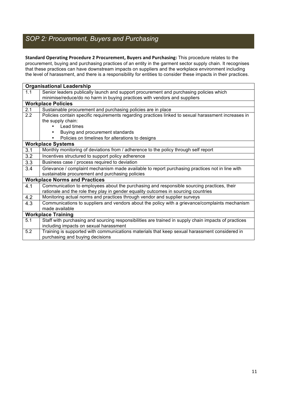# *SOP 2: Procurement, Buyers and Purchasing*

Standard Operating Procedure 2 Procurement, Buyers and Purchasing: This procedure relates to the procurement, buying and purchasing practices of an entity in the garment sector supply chain. It recognises that these practices can have downstream impacts on suppliers and the workplace environment including the level of harassment, and there is a responsibility for entities to consider these impacts in their practices.

| <b>Organisational Leadership</b> |                                                                                                      |  |  |  |  |
|----------------------------------|------------------------------------------------------------------------------------------------------|--|--|--|--|
| 1.1                              | Senior leaders publically launch and support procurement and purchasing policies which               |  |  |  |  |
|                                  | minimise/reduce/do no harm in buying practices with vendors and suppliers                            |  |  |  |  |
|                                  | <b>Workplace Policies</b>                                                                            |  |  |  |  |
| 2.1                              | Sustainable procurement and purchasing policies are in place                                         |  |  |  |  |
| 2.2                              | Policies contain specific requirements regarding practices linked to sexual harassment increases in  |  |  |  |  |
|                                  | the supply chain:                                                                                    |  |  |  |  |
|                                  | Lead times                                                                                           |  |  |  |  |
|                                  | Buying and procurement standards                                                                     |  |  |  |  |
|                                  | Policies on timelines for alterations to designs                                                     |  |  |  |  |
|                                  | <b>Workplace Systems</b>                                                                             |  |  |  |  |
| 3.1                              | Monthly monitoring of deviations from / adherence to the policy through self report                  |  |  |  |  |
| 3.2                              | Incentives structured to support policy adherence                                                    |  |  |  |  |
| 3.3                              | Business case / process required to deviation                                                        |  |  |  |  |
| 3.4                              | Grievance / complaint mechanism made available to report purchasing practices not in line with       |  |  |  |  |
|                                  | sustainable procurement and purchasing policies                                                      |  |  |  |  |
|                                  | <b>Workplace Norms and Practices</b>                                                                 |  |  |  |  |
| 4.1                              | Communication to employees about the purchasing and responsible sourcing practices, their            |  |  |  |  |
|                                  | rationale and the role they play in gender equality outcomes in sourcing countries                   |  |  |  |  |
| 4.2                              | Monitoring actual norms and practices through vendor and supplier surveys                            |  |  |  |  |
| 4.3                              | Communications to suppliers and vendors about the policy with a grievance/complaints mechanism       |  |  |  |  |
|                                  | made available                                                                                       |  |  |  |  |
|                                  | <b>Workplace Training</b>                                                                            |  |  |  |  |
| 5.1                              | Staff with purchasing and sourcing responsibilities are trained in supply chain impacts of practices |  |  |  |  |
|                                  | including impacts on sexual harassment                                                               |  |  |  |  |
| $\overline{5.2}$                 | Training is supported with communications materials that keep sexual harassment considered in        |  |  |  |  |
|                                  | purchasing and buying decisions                                                                      |  |  |  |  |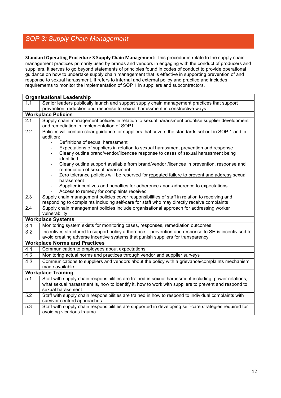### *SOP 3: Supply Chain Management*

**Standard Operating Procedure 3 Supply Chain Management:** This procedures relate to the supply chain management practices primarily used by brands and vendors in engaging with the conduct of producers and suppliers. It serves to go beyond statements of principles found in codes of conduct to provide operational guidance on how to undertake supply chain management that is effective in supporting prevention of and response to sexual harassment. It refers to internal and external policy and practice and includes requirements to monitor the implementation of SOP 1 in suppliers and subcontractors.

|                           | <b>Organisational Leadership</b>                                                                                                                                                        |  |  |  |  |  |
|---------------------------|-----------------------------------------------------------------------------------------------------------------------------------------------------------------------------------------|--|--|--|--|--|
| 1.1                       | Senior leaders publically launch and support supply chain management practices that support                                                                                             |  |  |  |  |  |
|                           | prevention, reduction and response to sexual harassment in constructive ways                                                                                                            |  |  |  |  |  |
| <b>Workplace Policies</b> |                                                                                                                                                                                         |  |  |  |  |  |
| 2.1                       | Supply chain management policies in relation to sexual harassment prioritise supplier development                                                                                       |  |  |  |  |  |
|                           | and remediation in implementation of SOP1                                                                                                                                               |  |  |  |  |  |
| 2.2                       | Policies will contain clear guidance for suppliers that covers the standards set out in SOP 1 and in<br>addition:                                                                       |  |  |  |  |  |
|                           | Definitions of sexual harassment<br>$\equiv$                                                                                                                                            |  |  |  |  |  |
|                           | Expectations of suppliers in relation to sexual harassment prevention and response<br>$\overline{\phantom{a}}$                                                                          |  |  |  |  |  |
|                           | Clearly outline brand/vendor/licencee response to cases of sexual harassment being<br>identified                                                                                        |  |  |  |  |  |
|                           | Clearly outline support available from brand/vendor /licencee in prevention, response and<br>remediation of sexual harassment                                                           |  |  |  |  |  |
|                           | Zero tolerance policies will be reserved for repeated failure to prevent and address sexual<br>harassment                                                                               |  |  |  |  |  |
|                           | Supplier incentives and penalties for adherence / non-adherence to expectations                                                                                                         |  |  |  |  |  |
|                           | Access to remedy for complaints received                                                                                                                                                |  |  |  |  |  |
| 2.3                       | Supply chain management policies cover responsibilities of staff in relation to receiving and                                                                                           |  |  |  |  |  |
|                           | responding to complaints including self-care for staff who may directly receive complaints                                                                                              |  |  |  |  |  |
| 2.4                       | Supply chain management policies include organisational approach for addressing worker                                                                                                  |  |  |  |  |  |
|                           | vulnerability                                                                                                                                                                           |  |  |  |  |  |
|                           | <b>Workplace Systems</b>                                                                                                                                                                |  |  |  |  |  |
| 3.1                       | Monitoring system exists for monitoring cases, responses, remediation outcomes                                                                                                          |  |  |  |  |  |
| 3.2                       | Incentives structured to support policy adherence – prevention and response to SH is incentivised to<br>avoid creating adverse incentive systems that punish suppliers for transparency |  |  |  |  |  |
|                           | <b>Workplace Norms and Practices</b>                                                                                                                                                    |  |  |  |  |  |
| 4.1                       | Communication to employees about expectations                                                                                                                                           |  |  |  |  |  |
| 4.2                       | Monitoring actual norms and practices through vendor and supplier surveys                                                                                                               |  |  |  |  |  |
| $\overline{4.3}$          | Communications to suppliers and vendors about the policy with a grievance/complaints mechanism<br>made available                                                                        |  |  |  |  |  |
| <b>Workplace Training</b> |                                                                                                                                                                                         |  |  |  |  |  |
| $\overline{5.1}$          | Staff with supply chain responsibilities are trained in sexual harassment including, power relations,                                                                                   |  |  |  |  |  |
|                           | what sexual harassment is, how to identify it, how to work with suppliers to prevent and respond to                                                                                     |  |  |  |  |  |
|                           | sexual harassment                                                                                                                                                                       |  |  |  |  |  |
| 5.2                       | Staff with supply chain responsibilities are trained in how to respond to individual complaints with                                                                                    |  |  |  |  |  |
|                           | survivor centred approaches                                                                                                                                                             |  |  |  |  |  |
| 5.3                       | Staff with supply chain responsibilities are supported in developing self-care strategies required for                                                                                  |  |  |  |  |  |
|                           | avoiding vicarious trauma                                                                                                                                                               |  |  |  |  |  |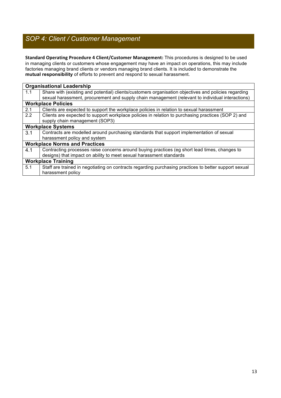# *SOP 4: Client / Customer Management*

Standard Operating Procedure 4 Client/Customer Management: This procedures is designed to be used in managing clients or customers whose engagement may have an impact on operations, this may include factories managing brand clients or vendors managing brand clients. It is included to demonstrate the **mutual responsibility** of efforts to prevent and respond to sexual harassment.

|                                      | <b>Organisational Leadership</b>                                                                      |  |  |  |  |
|--------------------------------------|-------------------------------------------------------------------------------------------------------|--|--|--|--|
| 1.1                                  | Share with (existing and potential) clients/customers organisation objectives and policies regarding  |  |  |  |  |
|                                      | sexual harassment, procurement and supply chain management (relevant to individual interactions)      |  |  |  |  |
|                                      | <b>Workplace Policies</b>                                                                             |  |  |  |  |
| 2.1                                  | Clients are expected to support the workplace policies in relation to sexual harassment               |  |  |  |  |
| 2.2                                  | Clients are expected to support workplace policies in relation to purchasing practices (SOP 2) and    |  |  |  |  |
|                                      | supply chain management (SOP3)                                                                        |  |  |  |  |
|                                      | <b>Workplace Systems</b>                                                                              |  |  |  |  |
| 3.1                                  | Contracts are modelled around purchasing standards that support implementation of sexual              |  |  |  |  |
|                                      | harassment policy and system                                                                          |  |  |  |  |
| <b>Workplace Norms and Practices</b> |                                                                                                       |  |  |  |  |
| 4.1                                  | Contracting processes raise concerns around buying practices (eg short lead times, changes to         |  |  |  |  |
|                                      | designs) that impact on ability to meet sexual harassment standards                                   |  |  |  |  |
|                                      | <b>Workplace Training</b>                                                                             |  |  |  |  |
| 5.1                                  | Staff are trained in negotiating on contracts regarding purchasing practices to better support sexual |  |  |  |  |
|                                      | harassment policy                                                                                     |  |  |  |  |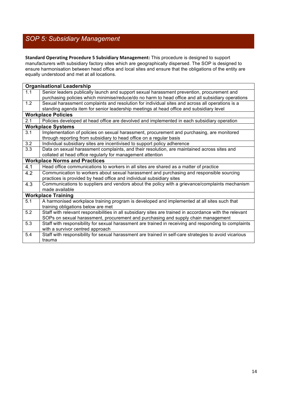# *SOP 5: Subsidiary Management*

**Standard Operating Procedure 5 Subsidiary Management:** This procedure is designed to support manufacturers with subsidiary factory sites which are geographically dispersed. The SOP is designed to ensure harmonisation between head office and local sites and ensure that the obligations of the entity are equally understood and met at all locations.

|     | <b>Organisational Leadership</b>                                                                                                                                                                |  |  |  |  |
|-----|-------------------------------------------------------------------------------------------------------------------------------------------------------------------------------------------------|--|--|--|--|
| 1.1 | Senior leaders publically launch and support sexual harassment prevention, procurement and<br>purchasing policies which minimise/reduce/do no harm to head office and all subsidiary operations |  |  |  |  |
| 1.2 | Sexual harassment complaints and resolution for individual sites and across all operations is a                                                                                                 |  |  |  |  |
|     | standing agenda item for senior leadership meetings at head office and subsidiary level                                                                                                         |  |  |  |  |
|     | <b>Workplace Policies</b>                                                                                                                                                                       |  |  |  |  |
| 2.1 | Policies developed at head office are devolved and implemented in each subsidiary operation                                                                                                     |  |  |  |  |
|     | <b>Workplace Systems</b>                                                                                                                                                                        |  |  |  |  |
| 3.1 | Implementation of policies on sexual harassment, procurement and purchasing, are monitored<br>through reporting from subsidiary to head office on a regular basis                               |  |  |  |  |
| 3.2 | Individual subsidiary sites are incentivised to support policy adherence                                                                                                                        |  |  |  |  |
| 3.3 | Data on sexual harassment complaints, and their resolution, are maintained across sites and<br>collated at head office regularly for management attention                                       |  |  |  |  |
|     | <b>Workplace Norms and Practices</b>                                                                                                                                                            |  |  |  |  |
| 4.1 | Head office communications to workers in all sites are shared as a matter of practice                                                                                                           |  |  |  |  |
| 4.2 | Communication to workers about sexual harassment and purchasing and responsible sourcing                                                                                                        |  |  |  |  |
|     | practices is provided by head office and individual subsidiary sites                                                                                                                            |  |  |  |  |
| 4.3 | Communications to suppliers and vendors about the policy with a grievance/complaints mechanism<br>made available                                                                                |  |  |  |  |
|     | <b>Workplace Training</b>                                                                                                                                                                       |  |  |  |  |
| 5.1 | A harmonised workplace training program is developed and implemented at all sites such that                                                                                                     |  |  |  |  |
|     | training obligations below are met                                                                                                                                                              |  |  |  |  |
| 5.2 | Staff with relevant responsibilities in all subsidiary sites are trained in accordance with the relevant                                                                                        |  |  |  |  |
|     | SOPs on sexual harassment, procurement and purchasing and supply chain management                                                                                                               |  |  |  |  |
| 5.3 | Staff with responsibility for sexual harassment are trained in receiving and responding to complaints                                                                                           |  |  |  |  |
|     | with a survivor centred approach                                                                                                                                                                |  |  |  |  |
| 5.4 | Staff with responsibility for sexual harassment are trained in self-care strategies to avoid vicarious                                                                                          |  |  |  |  |
|     | trauma                                                                                                                                                                                          |  |  |  |  |